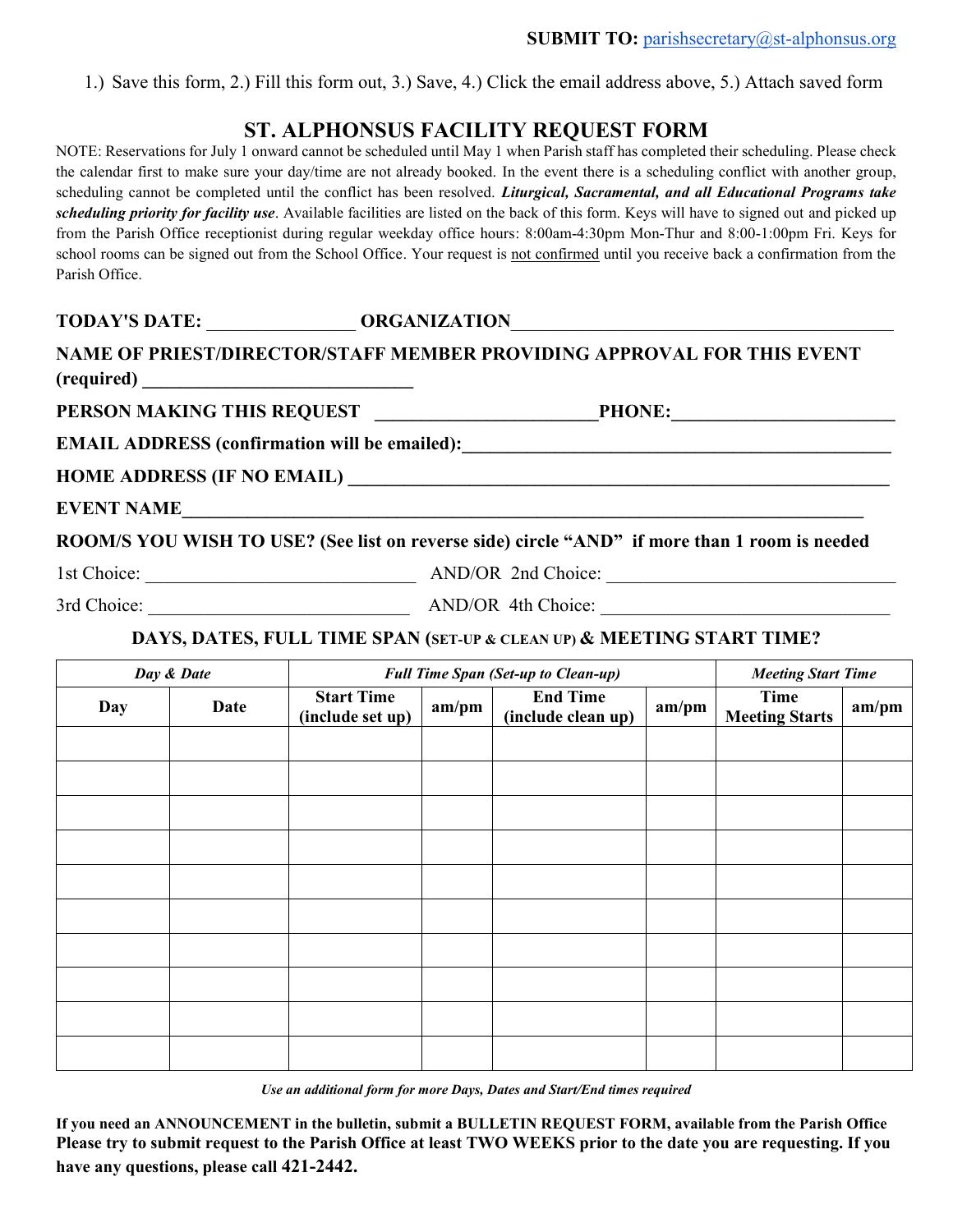1.) Save this form, 2.) Fill this form out, 3.) Save, 4.) Click the email address above, 5.) Attach saved form

# **ST. ALPHONSUS FACILITY REQUEST FORM**

NOTE: Reservations for July 1 onward cannot be scheduled until May 1 when Parish staff has completed their scheduling. Please check the calendar first to make sure your day/time are not already booked. In the event there is a scheduling conflict with another group, scheduling cannot be completed until the conflict has been resolved. *Liturgical, Sacramental, and all Educational Programs take scheduling priority for facility use*. Available facilities are listed on the back of this form. Keys will have to signed out and picked up from the Parish Office receptionist during regular weekday office hours: 8:00am-4:30pm Mon-Thur and 8:00-1:00pm Fri. Keys for school rooms can be signed out from the School Office. Your request is not confirmed until you receive back a confirmation from the Parish Office.

## **TODAY'S DATE:** \_\_\_\_\_\_\_\_\_\_\_\_\_\_\_\_ **ORGANIZATION**\_\_\_\_\_\_\_\_\_\_\_\_\_\_\_\_\_\_\_\_\_\_\_\_\_\_\_\_\_\_\_\_\_\_\_\_\_\_\_\_\_

### **NAME OF PRIEST/DIRECTOR/STAFF MEMBER PROVIDING APPROVAL FOR THIS EVENT (required) \_\_\_\_\_\_\_\_\_\_\_\_\_\_\_\_\_\_\_\_\_\_\_\_\_\_\_\_\_**

PERSON MAKING THIS REQUEST PHONE:

**EMAIL ADDRESS (confirmation will be emailed):\_\_\_\_\_\_\_\_\_\_\_\_\_\_\_\_\_\_\_\_\_\_\_\_\_\_\_\_\_\_\_\_\_\_\_\_\_\_\_\_\_\_\_\_\_\_**

**HOME ADDRESS (IF NO EMAIL) \_\_\_\_\_\_\_\_\_\_\_\_\_\_\_\_\_\_\_\_\_\_\_\_\_\_\_\_\_\_\_\_\_\_\_\_\_\_\_\_\_\_\_\_\_\_\_\_\_\_\_\_\_\_\_\_\_\_**

**EVENT NAME\_\_\_\_\_\_\_\_\_\_\_\_\_\_\_\_\_\_\_\_\_\_\_\_\_\_\_\_\_\_\_\_\_\_\_\_\_\_\_\_\_\_\_\_\_\_\_\_\_\_\_\_\_\_\_\_\_\_\_\_\_\_\_\_\_\_\_\_\_\_\_\_\_**

**ROOM/S YOU WISH TO USE? (See list on reverse side) circle "AND" if more than 1 room is needed**

1st Choice: \_\_\_\_\_\_\_\_\_\_\_\_\_\_\_\_\_\_\_\_\_\_\_\_\_\_\_\_\_ AND/OR 2nd Choice: \_\_\_\_\_\_\_\_\_\_\_\_\_\_\_\_\_\_\_\_\_\_\_\_\_\_\_\_\_\_\_

3rd Choice:  $\Delta N D/OR$  4th Choice:

### **DAYS, DATES, FULL TIME SPAN (SET-UP & CLEAN UP) & MEETING START TIME?**

| Day & Date |      | <b>Full Time Span (Set-up to Clean-up)</b> |       |                                       |       | <b>Meeting Start Time</b>     |       |
|------------|------|--------------------------------------------|-------|---------------------------------------|-------|-------------------------------|-------|
| Day        | Date | <b>Start Time</b><br>(include set up)      | am/pm | <b>End Time</b><br>(include clean up) | am/pm | Time<br><b>Meeting Starts</b> | am/pm |
|            |      |                                            |       |                                       |       |                               |       |
|            |      |                                            |       |                                       |       |                               |       |
|            |      |                                            |       |                                       |       |                               |       |
|            |      |                                            |       |                                       |       |                               |       |
|            |      |                                            |       |                                       |       |                               |       |
|            |      |                                            |       |                                       |       |                               |       |
|            |      |                                            |       |                                       |       |                               |       |
|            |      |                                            |       |                                       |       |                               |       |
|            |      |                                            |       |                                       |       |                               |       |
|            |      |                                            |       |                                       |       |                               |       |

*Use an additional form for more Days, Dates and Start/End times required*

**If you need an ANNOUNCEMENT in the bulletin, submit a BULLETIN REQUEST FORM, available from the Parish Office Please try to submit request to the Parish Office at least TWO WEEKS prior to the date you are requesting. If you have any questions, please call 421-2442.**